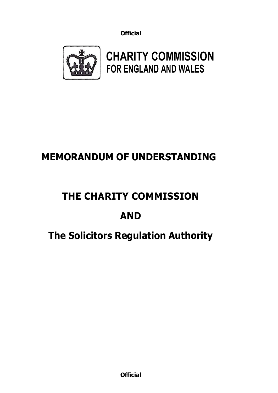

**CHARITY COMMISSION FOR ENGLAND AND WALES**

## **MEMORANDUM OF UNDERSTANDING**

## **THE CHARITY COMMISSION**

# **AND**

## **The Solicitors Regulation Authority**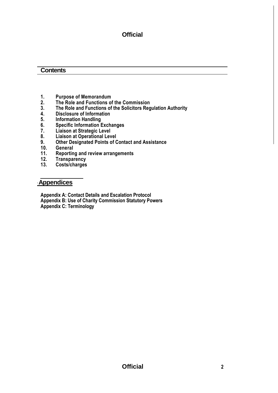#### **Contents**

- **1. Purpose of Memorandum**
- **2. The Role and Functions of the Commission**
- **3. The Role and Functions of the Solicitors Regulation Authority**
- **4. Disclosure of Information**
- 
- **5. Information Handling 6. Specific Information Exchanges**
- **7. Liaison at Strategic Level**
- **8. Liaison at Operational Level**
- **9. Other Designated Points of Contact and Assistance**
- **10. General**
- **11. Reporting and review arrangements**
- **12. Transparency**
- **13. Costs/charges**

#### <u>**Appendices**</u>

**Appendix A: Contact Details and Escalation Protocol Appendix B: Use of Charity Commission Statutory Powers Appendix C: Terminology**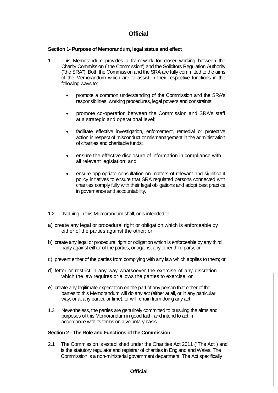#### **Section 1- Purpose of Memorandum, legal status and effect**

- 1. This Memorandum provides a framework for closer working between the Charity Commission ("the Commission') and the Solicitors Regulation Authority ("the SRA"). Both the Commission and the SRA are fully committed to the aims of the Memorandum which are to assist in their respective functions in the following ways to:
	- promote a common understanding of the Commission and the SRA's responsibilities, working procedures, legal powers and constraints;
	- promote co-operation between the Commission and SRA's staff at a strategic and operational level;
	- facilitate effective investigation, enforcement, remedial or protective action in respect of misconduct or mismanagement in the administration of charities and charitable funds;
	- ensure the effective disclosure of information in compliance with all relevant legislation; and
	- ensure appropriate consultation on matters of relevant and significant policy initiatives to ensure that SRA regulated persons connected with charities comply fully with their legal obligations and adopt best practice in governance and accountability.
- 1.2 Nothing in this Memorandum shall, or is intended to:
- a) create any legal or procedural right or obligation which is enforceable by either of the parties against the other; or
- b) create any legal or procedural right or obligation which is enforceable by any third party against either of the parties, or against any other third party; or
- c) prevent either of the parties from complying with any law which applies to them; or
- d) fetter or restrict in any way whatsoever the exercise of any discretion which the law requires or allows the parties to exercise; or
- e) create any legitimate expectation on the part of any person that either of the parties to this Memorandum will do any act (either at all, or in any particular way, or at any particular time), or will refrain from doing any act.
- 1.3 Nevertheless, the parties are genuinely committed to pursuing the aims and purposes of this Memorandum in good faith, and intend to act in accordance with its terms on a voluntary basis.

#### **Section 2 - The Role and Functions of the Commission**

2.1 The Commission is established under the Charities Act 2011 ("The Act") and is the statutory regulator and registrar of charities in England and Wales. The Commission is a non-ministerial government department. The Act specifically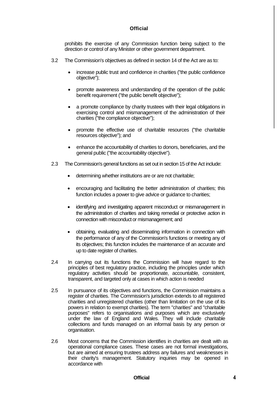prohibits the exercise of any Commission function being subject to the direction or control of any Minister or other government department.

- 3.2 The Commission's objectives as defined in section 14 of the Act are as to:
	- increase public trust and confidence in charities ("the public confidence objective");
	- promote awareness and understanding of the operation of the public benefit requirement ("the public benefit objective");
	- a promote compliance by charity trustees with their legal obligations in exercising control and mismanagement of the administration of their charities ("the compliance objective");
	- promote the effective use of charitable resources ("the charitable resources objective"); and
	- enhance the accountability of charities to donors, beneficiaries, and the general public ("the accountability objective").
- 2.3 The Commission's general functions as set out in section 15 of the Act include:
	- determining whether institutions are or are not charitable;
	- encouraging and facilitating the better administration of charities; this function includes a power to give advice or guidance to charities;
	- identifying and investigating apparent misconduct or mismanagement in the administration of charities and taking remedial or protective action in connection with misconduct or mismanagement; and
	- obtaining, evaluating and disseminating information in connection with the performance of any of the Commission's functions or meeting any of its objectives; this function includes the maintenance of an accurate and up to date register of charities.
- 2.4 In carrying out its functions the Commission will have regard to the principles of best regulatory practice, including the principles under which regulatory activities should be proportionate, accountable, consistent, transparent, and targeted only at cases in which action is needed
- 2.5 In pursuance of its objectives and functions, the Commission maintains a register of charities. The Commission's jurisdiction extends to all registered charities and unregistered charities (other than limitation on the use of its powers in relation to exempt charities). The term "charities" and "charitable purposes" refers to organisations and purposes which are exclusively under the law of England and Wales. They will include charitable collections and funds managed on an informal basis by any person or organisation.
- 2.6 Most concerns that the Commission identifies in charities are dealt with as operational compliance cases. These cases are not formal investigations, but are aimed at ensuring trustees address any failures and weaknesses in their charity's management. Statutory inquiries may be opened in accordance with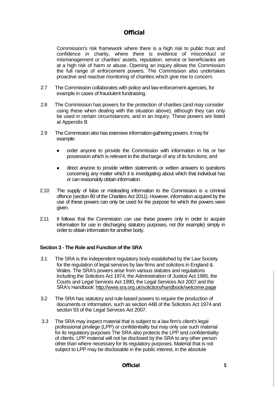Commission's risk framework where there is a high risk to public trust and confidence in charity, where there is evidence of misconduct or mismanagement or charities' assets, reputation, service or beneficiaries are at a high risk of harm or abuse. Opening an inquiry allows the Commission the full range of enforcement powers. The Commission also undertakes proactive and reactive monitoring of charities which give rise to concern.

- 2.7 The Commission collaborates with police and law enforcement agencies, for example in cases of fraudulent fundraising.
- 2.8 The Commission has powers for the protection of charities (and may consider using these when dealing with the situation above), although they can only be used in certain circumstances, and in an inquiry. These powers are listed at Appendix B
- 2.9 The Commission also has extensive information-gathering powers. It may for example:
	- order anyone to provide the Commission with information in his or her possession which is relevant to the discharge of any of its functions; and
	- direct anyone to provide written statements or written answers to questions concerning any matter which it is investigating about which that individual has or can reasonably obtain information.
- 2.10 The supply of false or misleading information to the Commission is a criminal offence (section 80 of the Charities Act 2011). However, information acquired by the use of these powers can only be used for the purpose for which the powers were given.
- 2.11 It follows that the Commission can use these powers only in order to acquire information for use in discharging statutory purposes, not (for example) simply in order to obtain information for another body.

#### **Section 3 - The Role and Function of the SRA**

- 3.1 The SRA is the independent regulatory body established by the Law Society for the regulation of legal services by law firms and solicitors in England & Wales. The SRA's powers arise from various statutes and regulations including the Solicitors Act 1974, the Administration of Justice Act 1985, the Courts and Legal Services Act 1990, the Legal Services Act 2007 and the SRA's Handbook' http://www.sra.org.uk/solicitors/handbook/welcome.page
- 3.2 The SRA has statutory and rule-based powers to require the production of documents or information, such as section 44B of the Solicitors Act 1974 and section 93 of the Legal Services Act 2007.
- 3.3 The SRA may inspect material that is subject to a law firm's client's legal professional privilege (LPP) or confidentiality but may only use such material for its regulatory purposes The SRA also protects the LPP and confidentiality of clients. LPP material will not be disclosed by the SRA to any other person other than where necessary for its regulatory purposes. Material that is not subject to LPP may be disclosable in the public interest, in the absolute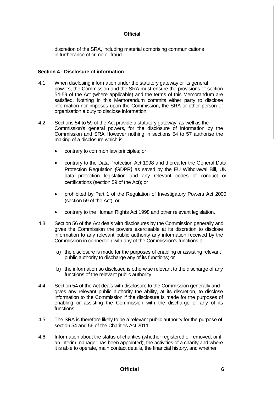discretion of the SRA, including material comprising communications in furtherance of crime or fraud.

#### **Section 4 - Disclosure of information**

- 4.1 When disclosing information under the statutory gateway or its general powers, the Commission and the SRA must ensure the provisions of section 54-59 of the Act (where applicable) and the terms of this Memorandum are satisfied. Nothing in this Memorandum commits either party to disclose information nor imposes upon the Commission, the SRA or other person or organisation a duty to disclose information
- 4.2 Sections 54 to 59 of the Act provide a statutory gateway, as well as the Commission's general powers, for the disclosure of information by the Commission and SRA However nothing in sections 54 to 57 authorise the making of a disclosure which is:
	- contrary to common law principles; or
	- contrary to the Data Protection Act 1998 and thereafter the General Data Protection Regulation *(*GDPR*)* as saved by the EU Withdrawal Bill, UK data protection legislation and any relevant codes of conduct or certifications (section 59 of the Act); or
	- prohibited by Part 1 of the Regulation of Investigatory Powers Act 2000 (section 59 of the Act); or
	- contrary to the Human Rights Act 1998 and other relevant legislation.
- 4.3 Section 56 of the Act deals with disclosures by the Commission generally and gives the Commission the powers exercisable at its discretion to disclose information to any relevant public authority any information received by the Commission in connection with any of the Commission's functions it
	- a) the disclosure is made for the purposes of enabling or assisting relevant public authority to discharge any of its functions; or
	- b) the information so disclosed is otherwise relevant to the discharge of any functions of the relevant public authority.
- 4.4 Section 54 of the Act deals with disclosure to the Commission generally and gives any relevant public authority the ability, at its discretion, to disclose information to the Commission if the disclosure is made for the purposes of enabling or assisting the Commission with the discharge of any of its functions.
- 4.5 The SRA is therefore likely to be a relevant public authority for the purpose of section 54 and 56 of the Charities Act 2011.
- 4.6 Information about the status of charities (whether registered or removed, or if an interim manager has been appointed), the activities of a charity and where it is able to operate, main contact details, the financial history, and whether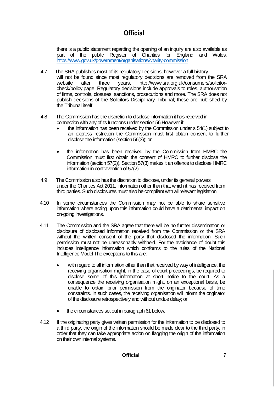there is a public statement regarding the opening of an inquiry are also available as part of the public Register of Charities for England and Wales. <https://www.gov.uk/government/organisations/charity-commission>

- 4.7 The SRA publishes most of its regulatory decisions, however a full history will not be found since most regulatory decisions are removed from the SRA<br>website after three vears. http://www.sra.org.uk/consumers/solicitorafter three years. [http://www.sra.org.uk/consumers/solicitor](http://www.sra.org.uk/consumers/solicitor-check/policy.page)[check/policy.page.](http://www.sra.org.uk/consumers/solicitor-check/policy.page) Regulatory decisions include approvals to roles, authorisation of firms, controls, closures, sanctions, prosecutions and more. The SRA does not publish decisions of the Solicitors Disciplinary Tribunal; these are published by the Tribunal itself.
- 4.8 The Commission has the discretion to disclose information it has received in connection with any of its functions under section 56 However if:
	- the information has been received by the Commission under s 54(1) subject to an express restriction the Commission must first obtain consent to further disclose the information (section 56(3)); or
	- the information has been received by the Commission from HMRC the Commission must first obtain the consent of HMRC to further disclose the information (section 57(2)). Section 57(3) makes it an offence to disclose HMRC information in contravention of 57(2).
- 4.9 The Commission also has the discretion to disclose, under its general powers under the Charities Act 2011, information other than that which it has received from third parties. Such disclosures must also be compliant with all relevant legislation
- 4.10 In some circumstances the Commission may not be able to share sensitive information where acting upon this information could have a detrimental impact on on-going investigations.
- 4.11 The Commission and the SRA agree that there will be no further dissemination or disclosure of disclosed information received from the Commission or the SRA without the written consent of the party that disclosed the information. Such permission must not be unreasonably withheld. For the avoidance of doubt this includes intelligence information which conforms to the rules of the National Intelligence Model The exceptions to this are:
	- with regard to all information other than that received by way of intelligence. the receiving organisation might, in the case of court proceedings, be required to disclose some of this information at short notice to the court. As a consequence the receiving organisation might, on an exceptional basis, be unable to obtain prior permission from the originator because of time constraints. In such cases, the receiving organisation will inform the originator of the disclosure retrospectively and without undue delay; or
	- the circumstances set out in paragraph 61 below.
- 4.12 If the originating party gives written permission for the information to be disclosed to a third party, the origin of the information should be made clear to the third party, in order that they can take appropriate action on flagging the origin of the information on their own internal systems.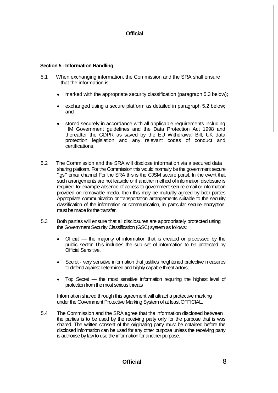#### **Section 5 - Information Handling**

- 5.1When exchanging information, the Commission and the SRA shall ensure that the information is:
	- marked with the appropriate security classification (paragraph 5.3 below);
	- exchanged using a secure platform as detailed in paragraph 5.2 below; and
	- stored securely in accordance with all applicable requirements including HM Government guidelines and the Data Protection Act 1998 and thereafter the GDPR as saved by the EU Withdrawal Bill, UK data protection legislation and any relevant codes of conduct and certifications.
- 5.2 The Commission and the SRA will disclose information via a secured data sharing platform. For the Commission this would normally be the government secure ".gsi" email channel For the SRA this is the CJSM secure portal. In the event that such arrangements are not feasible or if another method of information disclosure is required, for example absence of access to government secure email or information provided on removable media, then this may be mutually agreed by both parties Appropriate communication or transportation arrangements suitable to the security classification of the information or communication, in particular secure encryption, must be made for the transfer.
- 5.3 Both parties will ensure that all disclosures are appropriately protected using the Government Security Classification (GSC) system as follows:
	- Official the majority of information that is created or processed by the public sector This includes the sub set of information to *be* protected by Official Sensitive,
	- Secret very sensitive information that justifies heightened protective measures to defend against determined and highly capable threat actors;
	- Top Secret the most sensitive information requiring the highest level of protection from the most serious threats

Information shared through this agreement will attract a protective marking under the Government Protective Marking System of at least OFFICIAL.

5.4 The Commission and the SRA agree that the information disclosed between the parties is to be used by the receiving party only for the purpose that is was shared. The written consent of the originating party must be obtained before the disclosed information can be used for any other purpose unless the receiving party is authorise by law to use the information for another purpose.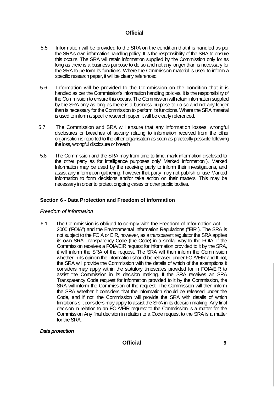- 5.5Information will be provided to the SRA on the condition that it is handled as per the SRA's own information handling policy. It is the responsibility of the SRA to ensure this occurs. The SRA will retain information supplied by the Commission only for as long as there is a business purpose to do so and not any longer than is necessary for the SRA to perform its functions. Where the Commission material is used to inform a specific research paper, it will be clearly referenced.
- 5.6 Information will be provided to the Commission on the condition that it is handled as per the Commission's information handling policies. It is the responsibility of the Commission to ensure this occurs. The Commission will retain information supplied by the SRA only as long as there is a business purpose to do so and not any longer than is necessary for the Commission to perform its functions. Where the SRA material is used to inform a specific research paper, it will be clearly referenced.
- 5.7 The Commission and SRA will ensure that any information losses, wrongful disclosures or breaches of security relating to information received from the other organisation is reported to the other organisation as soon as practically possible following the loss, wrongful disclosure or breach
- 5.8 The Commission and the SRA may from time to time, mark information disclosed to the other party as for intelligence purposes only' Marked Information"). Marked Information may be used by the receiving party to inform their investigations, and assist any information gathering, however that party may not publish or use Marked Information to form decisions and/or take action on their matters. This may be necessary in order to protect ongoing cases or other public bodies.

#### **Section 6 - Data Protection and Freedom of information**

#### *Freedom of information*

6.1 The Commission is obliged to comply with the Freedom of Information Act 2000 ('FOIA") and the Environmental Information Regulations ("EIR"). The SRA is not subject to the FOIA or EIR, however, as a transparent regulator the SRA applies its own SRA Transparency Code (the Code) in a similar way to the FOIA. If the Commission receives a FOIA/EIR request for information provided to it by the SRA, it will inform the SRA of the request. The SRA will then inform the Commission whether in its opinion the information should be released under FOIA/EIR and If not, the SRA will provide the Commission with the details of which of the exemptions it considers may apply within the statutory timescales provided for in FOIA/EIR to assist the Commission in its decision making. If the SRA receives an SRA Transparency Code request for information provided to it by the Commission, the SRA will inform the Commission of the request. The Commission will then inform the SRA whether it considers that the information should be released under the Code, and if not, the Commission will provide the SRA with details of which limitations s it considers may apply to assist the SRA in its decision making. Any final decision in relation to an FOIA/EIR request to the Commission is a matter for the Commission Any final decision in relation to a Code request to the SRA is a matter for the SRA.

#### *Data protection*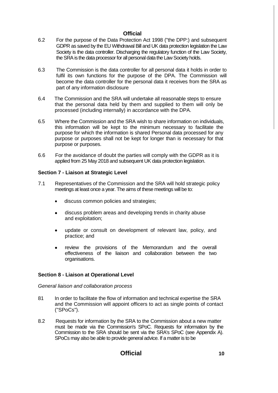- 6.2 For the purpose of the Data Protection Act 1998 ("the DPP:) and subsequent GDPR as saved by the EU Withdrawal Bill and UK data protection legislation the Law Society is the data controller. Discharging the regulatory function of the Law Society, the SRA is the data processor for all personal data the Law Society holds.
- 6.3 The Commission is the data controller for all personal data it holds in order to fulfil its own functions for the purpose of the DPA. The Commission will become the data controller for the personal data it receives from the SRA as part of any information disclosure
- 6.4 The Commission and the SRA will undertake all reasonable steps to ensure that the personal data held by them and supplied to them will only be processed (including internally) in accordance with the DPA.
- 6.5 Where the Commission and the SRA wish to share information on individuals, this information will be kept to the minimum necessary to facilitate the purpose for which the information is shared Personal data processed for any purpose or purposes shall not be kept for longer than is necessary for that purpose or purposes.
- 6.6 For the avoidance of doubt the parties will comply with the GDPR as it is applied from 25 May 2018 and subsequent UK data protection legislation.

#### **Section 7 - Liaison at Strategic Level**

- 7.1 Representatives of the Commission and the SRA will hold strategic policy meetings at least once a year. The aims of these meetings will be to:
	- discuss common policies and strategies;
	- discuss problem areas and developing trends in charity abuse and exploitation;
	- update or consult on development of relevant law, policy, and practice; and
	- review the provisions of the Memorandum and the overall effectiveness of the liaison and collaboration between the two organisations.

#### **Section 8 - Liaison at Operational Level**

#### *General liaison and collaboration process*

- 81 In order to facilitate the flow of information and technical expertise the SRA and the Commission will appoint officers to act as single points of contact ("SPoCs").
- 8.2 Requests for information by the SRA to the Commission about a new matter must be made via the Commission's SPoC. Requests for information by the Commission to the SRA should be sent via the SRA's SPoC (see Appendix A). SPoCs may also be able to provide general advice. If a matter is to be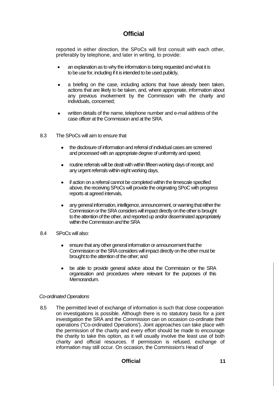reported in either direction, the SPoCs will first consult with each other, preferably by telephone, and later in writing, to provide:

- an explanation as to why the information is being requested and what it is to be use for, including if it is intended to be used publicly,
- a briefing on the case, including actions that have already been taken, actions that are likely to be taken, and, where appropriate, information about any previous involvement by the Commission with the charity and individuals, concerned;
- written details of the name, telephone number and e-mail address of the case officer at the Commission and at the SRA.
- 8.3 The SPoCs will aim to ensure that
	- the disclosure of information and referral of individual cases are screened and processed with an appropriate degree of uniformity and speed;
	- routine referrals will be dealt with within fifteen working days of receipt, and any urgent referrals within eight working days,
	- if action on a referral cannot be completed within the timescale specified above, the receiving SPoCs will provide the originating SPoC with progress reports at agreed intervals,
	- any general information, intelligence, announcement, or warning that either the Commission or the SRA considers will impact directly on the other is brought to the attention of the other, and reported up and/or disseminated appropriately within the Commission *and* the SRA
- 8.4 SPoCs will also:
	- ensure that any other general information or announcement that the Commission or the SRA considers will impact directly on the other must be brought to the attention of the other; and
	- be able to provide general advice about the Commission or the SRA organisation and procedures where relevant for the purposes of this Memorandum.

#### *Co-ordinated Operations*

8.5 The permitted level of exchange of information is such that close cooperation on investigations is possible. Although there is no statutory basis for a joint investigation the SRA and the Commission can on occasion co-ordinate their operations ("Co-ordinated Operations'). Joint approaches can take place with the permission of the charity and every effort should be made to encourage the charity to take this option, as it will usually involve the least use of both charity and official resources. If permission is refused, exchange of information may still occur. On occasion, the Commission's Head of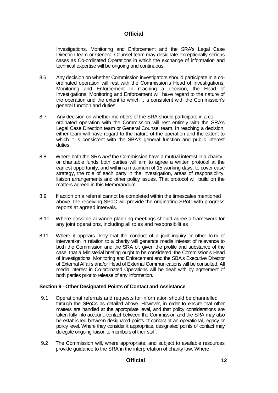Investigations, Monitoring and Enforcement and the SRA's Legal Case Direction team or General Counsel team may designate exceptionally serious cases as Co-ordinated Operations in which the exchange of information and technical expertise will be ongoing and continuous.

- 8.6 Any decision on whether Commission investigators should participate in a coordinated operation will rest with the Commission's Head of Investigations, Monitoring and Enforcement In reaching a decision, the Head of Investigations. Monitoring and Enforcement will have regard to the nature of the operation and the extent to which it is consistent with the Commission's general function and duties.
- 8.7 Any decision on whether members of the SRA should participate in a coordinated operation with the Commission will rest entirely with the SRA's Legal Case Direction team or General Counsel team. In reaching a decision, either team will have regard to the nature of the operation and the extent to which it Is consistent with the SBA's general function and public interest duties.
- 8.8 Where both the SRA *and* the Commission have a mutual interest in a charity or charitable funds both parties will aim to agree a written protocol at the earliest opportunity, and within a maximum of 15 working days, to cover case strategy, the role of each party in the investigation, areas of responsibility, liaison arrangements and other policy issues. That protocol will build on the matters agreed in this Memorandum.
- 8.9 If action on a referral cannot be completed within the timescales mentioned above, the receiving SPoC will provide the originating SPoC with progress reports at agreed intervals.
- 8.10 Where possible advance planning meetings should agree a framework for any joint operations, including all roles and responsibilities
- 8.11 Where it appears likely that the conduct of a joint inquiry or other form of intervention in relation to a charity will generate media interest of relevance to both the Commission and the SRA or, given the profile and substance of the case, that a Ministerial briefing ought to be considered, the Commission's Head of Investigations, Monitoring and Enforcement and the SBA's Executive Director of External Affairs and/or Head of External Communications will be consulted. All media interest in Co-ordinated Operations will be dealt with by agreement of both parties prior to release of any information.

#### **Section 9 - Other Designated Points of Contact and Assistance**

- 9.1 Operational referrals and requests for information should be channelled through the SPoCs as detailed above. However, in order to ensure that other matters are handled at the appropriate level, and that policy considerations are taken fully into account, contact between the Commission and the SRA may also be established between designated points of contact at an operational, legacy or policy level. Where they consider it appropriate, designated points of contact may delegate ongoing liaison to members of their staff.
- 9.2 The Commission will, where appropriate, and subject to available resources provide guidance to the SRA in the interpretation of charity law. Where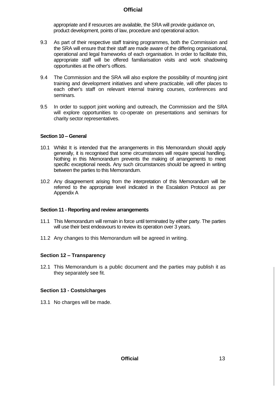appropriate and if resources are available, the SRA will provide guidance on, product development, points of law, procedure and operational action.

- 9.3 As part of their respective staff training programmes, both the Commission and the SRA will ensure that their staff are made aware of the differing organisational, operational and legal frameworks of each organisation. In order to facilitate this, appropriate staff will be offered familiarisation visits and work shadowing opportunities at the other's offices.
- 9.4 The Commission and the SRA will also explore the possibility of mounting joint training and development initiatives and where practicable, will offer places to each other's staff on relevant internal training courses, conferences and seminars.
- 9.5 In order to support joint working and outreach, the Commission and the SRA will explore opportunities to co-operate on presentations and seminars for charity sector representatives.

#### **Section 10 – General**

- 10.1 Whilst It is intended that the arrangements in this Memorandum should apply generally, it is recognised that some circumstances will require special handling. Nothing in this Memorandum prevents the making of arrangements to meet specific exceptional needs. Any such circumstances should be agreed in writing between the parties to this Memorandum.
- 10.2 Any disagreement arising from the interpretation of this Memorandum will be referred to the appropriate level indicated in the Escalation Protocol as per Appendix A

#### **Section 11 - Reporting and review arrangements**

- 11.1 This Memorandum will remain in force until terminated by either party. The parties will use their best endeavours to review its operation over 3 years.
- 11.2 Any changes to this Memorandum will be agreed in writing.

#### **Section 12 – Transparency**

12.1 This Memorandum is a public document and the parties may publish it as they separately see fit.

#### **Section 13 - Costs/charges**

13.1 No charges will be made.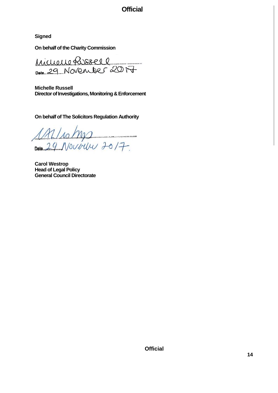**Signed**

**On behalf of the Charity Commission**

Michelle Russell Date 29 November 2017

**Michelle Russell Director of Investigations, Monitoring & Enforcement**

**On behalf of The Solicitors Regulation Authority**

1A1/10/M2<br>Date 29 Novous 2017

**Carol Westrop Head of Legal Policy General Council Directorate**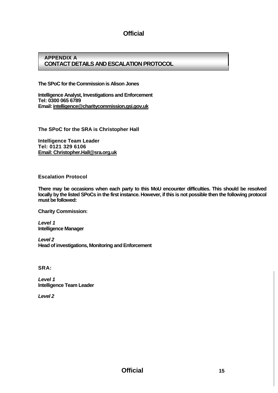#### **APPENDIX A CONTACT DETAILS AND ESCALATION PROTOCOL**

**The SPoC for the Commission is Alison Jones**

**Intelligence Analyst, Investigations and Enforcement Tel: 0300 065 6789 Email: intelligence[@charitycommission.gsi.gov.uk](http://charitycommission.gsi.gov.uk/)**

**The SPoC for the SRA is Christopher Hall** 

**Intelligence Team Leader Tel: 0121 329 6106 [Email: Christopher.Hall@sra.org.uk](mailto:Christopher.Hall@sra.org.uk)**

**Escalation Protocol**

**There may be occasions when each party to this MoU encounter difficulties. This should be resolved locally by the listed SPoCs in the first instance. However, if this is not possible then the following protocol must be followed:**

**Charity Commission:**

*Level 1* **Intelligence Manager**

*Level 2* **Head of investigations, Monitoring and Enforcement**

**SRA:**

*Level 1* **Intelligence Team Leader**

*Level 2*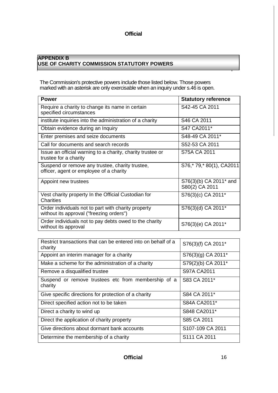#### **APPENDIX B USE OF CHARITY COMMISSION STATUTORY POWERS**

The Commission's protective powers include those listed below. Those powers marked with an asterisk are only exercisable when an inquiry under s.46 is open.

| <b>Power</b>                                                                                    | <b>Statutory reference</b>               |
|-------------------------------------------------------------------------------------------------|------------------------------------------|
| Require a charity to change its name in certain<br>specified circumstances                      | S42-45 CA 2011                           |
| institute inquiries into the administration of a charity                                        | S46 CA 2011                              |
| Obtain evidence during an Inquiry                                                               | S47 CA2011*                              |
| Enter premises and seize documents                                                              | S48-49 CA 2011*                          |
| Call for documents and search records                                                           | S52-53 CA 2011                           |
| Issue an official warning to a charity, charity trustee or<br>trustee for a charity             | S75A CA 2011                             |
| Suspend or remove any trustee, charity trustee,<br>officer, agent or employee of a charity      | S76,*79,*80(1), CA2011                   |
| Appoint new trustees                                                                            | S76(3)(b) CA 2011* and<br>S80(2) CA 2011 |
| Vest charity property In the Official Custodian for<br>Charities                                | S76(3)(c) CA 2011*                       |
| Order individuals not to part with charity property<br>without its approval ("freezing orders") | S76(3)(d) CA 2011*                       |
| Order individuals not to pay debts owed to the charity<br>without its approval                  | S76(3)(e) CA 2011*                       |

| Restrict transactions that can be entered into on behalf of a<br>charity | S76(3)(f) CA 2011*       |
|--------------------------------------------------------------------------|--------------------------|
| Appoint an interim manager for a charity                                 | S76(3)(g) CA 2011*       |
| Make a scheme for the administration of a charity                        | S79(2)(b) CA 2011*       |
| Remove a disqualified trustee                                            | S97A CA2011              |
| Suspend or remove trustees etc from membership of a<br>charity           | S83 CA 2011*             |
| Give specific directions for protection of a charity                     | S84 CA 2011*             |
| Direct specified action not to be taken                                  | S84A CA2011*             |
| Direct a charity to wind up                                              | S848 CA2011*             |
| Direct the application of charity property                               | S85 CA 2011              |
| Give directions about dormant bank accounts                              | S107-109 CA 2011         |
| Determine the membership of a charity                                    | S <sub>111</sub> CA 2011 |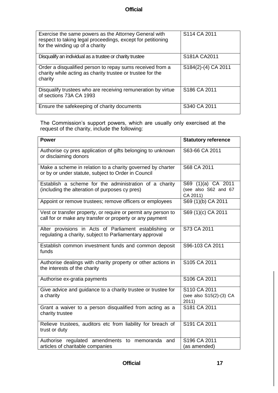| Exercise the same powers as the Attorney General with<br>respect to taking legal proceedings, except for petitioning<br>for the winding up of a charity | S114 CA 2011                           |
|---------------------------------------------------------------------------------------------------------------------------------------------------------|----------------------------------------|
| Disqualify an individual as a trustee or charity trustee                                                                                                | S <sub>181</sub> A C <sub>A</sub> 2011 |
| Order a disqualified person to repay sums received from a<br>charity while acting as charity trustee or trustee for the<br>charity                      | S184(2)-(4) CA 2011                    |
| Disqualify trustees who are receiving remuneration by virtue<br>of sections 73A CA 1993                                                                 | S186 CA 2011                           |
| Ensure the safekeeping of charity documents                                                                                                             | S340 CA 2011                           |

The Commission's support powers, which are usually only exercised at the request of the charity, include the following:

| <b>Power</b>                                                                                                              | <b>Statutory reference</b>                             |
|---------------------------------------------------------------------------------------------------------------------------|--------------------------------------------------------|
| Authorise cy pres application of gifts belonging to unknown<br>or disclaiming donors                                      | S63-66 CA 2011                                         |
| Make a scheme in relation to a charity governed by charter<br>or by or under statute, subject to Order in Council         | S68 CA 2011                                            |
| Establish a scheme for the administration of a charity<br>(including the alteration of purposes cy pres)                  | S69 (1)(a) CA 2011<br>(see also S62 and 67<br>CA 2011) |
| Appoint or remove trustees; remove officers or employees                                                                  | S69 (1)(b) CA 2011                                     |
| Vest or transfer property, or require or permit any person to<br>call for or make any transfer or property or any payment | S69 (1)(c) CA 2011                                     |
| Alter provisions in Acts of Parliament establishing or<br>regulating a charity, subject to Parliamentary approval         | S73 CA 2011                                            |
| Establish common investment funds and common deposit<br>funds                                                             | S96-103 CA 2011                                        |
| Authorise dealings with charity property or other actions in<br>the interests of the charity                              | S105 CA 2011                                           |
| Authorise ex-gratia payments                                                                                              | S106 CA 2011                                           |
| Give advice and guidance to a charity trustee or trustee for<br>a charity                                                 | S110 CA 2011<br>(see also S15(2)-(3) CA<br>2011)       |
| Grant a waiver to a person disqualified from acting as a<br>charity trustee                                               | S181 CA 2011                                           |
| Relieve trustees, auditors etc from liability for breach of<br>trust or duty                                              | S191 CA 2011                                           |
| Authorise regulated amendments to memoranda and<br>articles of charitable companies                                       | S196 CA 2011<br>(as amended)                           |